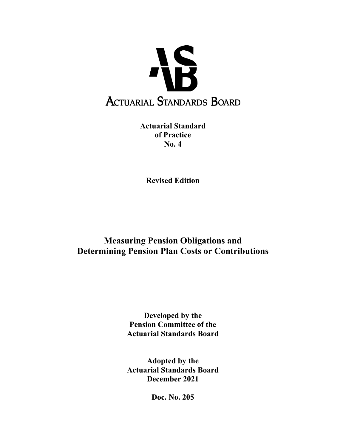

**Actuarial Standard of Practice No. 4** 

**Revised Edition** 

# **Measuring Pension Obligations and Determining Pension Plan Costs or Contributions**

**Developed by the Pension Committee of the Actuarial Standards Board** 

**Adopted by the Actuarial Standards Board December 2021** 

**Doc. No. 205**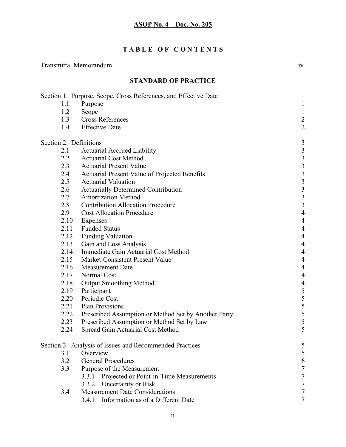## **T A B L E O F C O N T E N T S**

### Transmittal Memorandum iv

## **STANDARD OF PRACTICE**

|                        | Section 1. Purpose, Scope, Cross References, and Effective Date | 1                        |
|------------------------|-----------------------------------------------------------------|--------------------------|
| 1.1                    | Purpose                                                         | $\mathbf{1}$             |
| 1.2                    | Scope                                                           | $\mathbf{1}$             |
| 1.3                    | <b>Cross References</b>                                         | $\overline{c}$           |
| 1.4                    | <b>Effective Date</b>                                           | $\overline{c}$           |
| Section 2. Definitions |                                                                 | 3                        |
| 2.1                    | <b>Actuarial Accrued Liability</b>                              |                          |
| 2.2                    | <b>Actuarial Cost Method</b>                                    |                          |
| 2.3                    | <b>Actuarial Present Value</b>                                  |                          |
| 2.4                    | Actuarial Present Value of Projected Benefits                   |                          |
| 2.5                    | <b>Actuarial Valuation</b>                                      |                          |
| 2.6                    | <b>Actuarially Determined Contribution</b>                      |                          |
| 2.7                    | <b>Amortization Method</b>                                      | 333333334                |
| 2.8                    | <b>Contribution Allocation Procedure</b>                        |                          |
| 2.9                    | <b>Cost Allocation Procedure</b>                                |                          |
| 2.10                   | Expenses                                                        | $\overline{4}$           |
| 2.11                   | <b>Funded Status</b>                                            | $\overline{4}$           |
| 2.12                   | <b>Funding Valuation</b>                                        | $\overline{4}$           |
| 2.13                   | Gain and Loss Analysis                                          | $\overline{\mathcal{A}}$ |
| 2.14                   | Immediate Gain Actuarial Cost Method                            | $\overline{\mathcal{A}}$ |
| 2.15                   | Market-Consistent Present Value                                 | $\overline{\mathcal{A}}$ |
| 2.16                   | <b>Measurement Date</b>                                         | $\overline{\mathcal{A}}$ |
| 2.17                   | Normal Cost                                                     | $\overline{\mathcal{A}}$ |
| 2.18                   | <b>Output Smoothing Method</b>                                  |                          |
| 2.19                   | Participant                                                     |                          |
| 2.20                   | Periodic Cost                                                   |                          |
| 2.21                   | <b>Plan Provisions</b>                                          |                          |
| 2.22                   | Prescribed Assumption or Method Set by Another Party            | 4 5 5 5 5 5 5            |
| 2.23                   | Prescribed Assumption or Method Set by Law                      |                          |
| 2.24                   | Spread Gain Actuarial Cost Method                               | 5                        |
|                        | Section 3. Analysis of Issues and Recommended Practices         | 5                        |
| 3.1                    | Overview                                                        | 5                        |
| 3.2                    | <b>General Procedures</b>                                       | 6                        |
| 3.3                    | Purpose of the Measurement                                      |                          |
|                        | Projected or Point-in-Time Measurements<br>3.3.1                |                          |
|                        | Uncertainty or Risk<br>3.3.2                                    |                          |
| 3.4                    | <b>Measurement Date Considerations</b>                          | 7                        |
|                        | Information as of a Different Date<br>3.4.1                     | 7                        |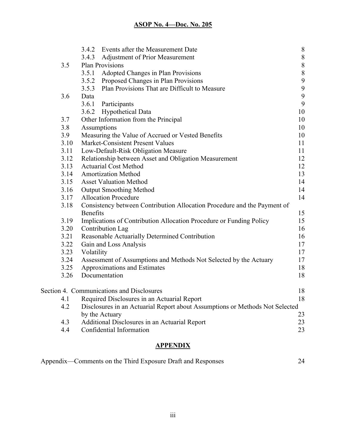|      | 3.4.2           | Events after the Measurement Date                                            | $\,$ $\,$        |
|------|-----------------|------------------------------------------------------------------------------|------------------|
|      | 3.4.3           | <b>Adjustment of Prior Measurement</b>                                       | $\boldsymbol{8}$ |
| 3.5  |                 | Plan Provisions                                                              | $\,$ $\,$        |
|      | 3.5.1           | Adopted Changes in Plan Provisions                                           | $\,$ $\,$        |
|      | 3.5.2           | Proposed Changes in Plan Provisions                                          | 9                |
|      | 3.5.3           | Plan Provisions That are Difficult to Measure                                | $\boldsymbol{9}$ |
| 3.6  | Data            |                                                                              | $\boldsymbol{9}$ |
|      | 3.6.1           | Participants                                                                 | $\boldsymbol{9}$ |
|      |                 | 3.6.2 Hypothetical Data                                                      | 10               |
| 3.7  |                 | Other Information from the Principal                                         | 10               |
| 3.8  | Assumptions     |                                                                              | 10               |
| 3.9  |                 | Measuring the Value of Accrued or Vested Benefits                            | 10               |
| 3.10 |                 | Market-Consistent Present Values                                             | 11               |
| 3.11 |                 | Low-Default-Risk Obligation Measure                                          | 11               |
| 3.12 |                 | Relationship between Asset and Obligation Measurement                        | 12               |
| 3.13 |                 | <b>Actuarial Cost Method</b>                                                 | 12               |
| 3.14 |                 | <b>Amortization Method</b>                                                   | 13               |
| 3.15 |                 | <b>Asset Valuation Method</b>                                                | 14               |
| 3.16 |                 | <b>Output Smoothing Method</b>                                               | 14               |
| 3.17 |                 | <b>Allocation Procedure</b>                                                  | 14               |
| 3.18 |                 | Consistency between Contribution Allocation Procedure and the Payment of     |                  |
|      | <b>Benefits</b> |                                                                              | 15               |
| 3.19 |                 | Implications of Contribution Allocation Procedure or Funding Policy          | 15               |
| 3.20 |                 | Contribution Lag                                                             | 16               |
| 3.21 |                 | Reasonable Actuarially Determined Contribution                               | 16               |
| 3.22 |                 | Gain and Loss Analysis                                                       | 17               |
| 3.23 | Volatility      |                                                                              | 17               |
| 3.24 |                 | Assessment of Assumptions and Methods Not Selected by the Actuary            | 17               |
| 3.25 |                 | Approximations and Estimates                                                 | 18               |
| 3.26 |                 | Documentation                                                                | 18               |
|      |                 | Section 4. Communications and Disclosures                                    | 18               |
|      |                 | 4.1 Required Disclosures in an Actuarial Report                              | 18               |
| 4.2  |                 | Disclosures in an Actuarial Report about Assumptions or Methods Not Selected |                  |
|      |                 | by the Actuary                                                               | 23               |
| 4.3  |                 | Additional Disclosures in an Actuarial Report                                | 23               |
| 4.4  |                 | Confidential Information                                                     | 23               |
|      |                 |                                                                              |                  |

## **APPENDIX**

| Appendix—Comments on the Third Exposure Draft and Responses |  |
|-------------------------------------------------------------|--|
|                                                             |  |
|                                                             |  |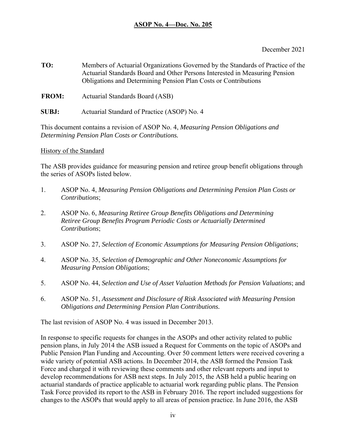December 2021

- **TO:** Members of Actuarial Organizations Governed by the Standards of Practice of the Actuarial Standards Board and Other Persons Interested in Measuring Pension Obligations and Determining Pension Plan Costs or Contributions
- **FROM:** Actuarial Standards Board (ASB)
- **SUBJ:** Actuarial Standard of Practice (ASOP) No. 4

This document contains a revision of ASOP No. 4, *Measuring Pension Obligations and Determining Pension Plan Costs or Contributions.* 

## History of the Standard

The ASB provides guidance for measuring pension and retiree group benefit obligations through the series of ASOPs listed below.

- 1. ASOP No. 4, *Measuring Pension Obligations and Determining Pension Plan Costs or Contributions*;
- 2. ASOP No. 6, *Measuring Retiree Group Benefits Obligations and Determining Retiree Group Benefits Program Periodic Costs or Actuarially Determined Contributions*;
- 3. ASOP No. 27, *Selection of Economic Assumptions for Measuring Pension Obligations*;
- 4. ASOP No. 35, *Selection of Demographic and Other Noneconomic Assumptions for Measuring Pension Obligations*;
- 5. ASOP No. 44, *Selection and Use of Asset Valuation Methods for Pension Valuations*; and
- 6. ASOP No. 51, *Assessment and Disclosure of Risk Associated with Measuring Pension Obligations and Determining Pension Plan Contributions.*

The last revision of ASOP No. 4 was issued in December 2013.

In response to specific requests for changes in the ASOPs and other activity related to public pension plans, in July 2014 the ASB issued a Request for Comments on the topic of ASOPs and Public Pension Plan Funding and Accounting. Over 50 comment letters were received covering a wide variety of potential ASB actions. In December 2014, the ASB formed the Pension Task Force and charged it with reviewing these comments and other relevant reports and input to develop recommendations for ASB next steps. In July 2015, the ASB held a public hearing on actuarial standards of practice applicable to actuarial work regarding public plans. The Pension Task Force provided its report to the ASB in February 2016. The report included suggestions for changes to the ASOPs that would apply to all areas of pension practice. In June 2016, the ASB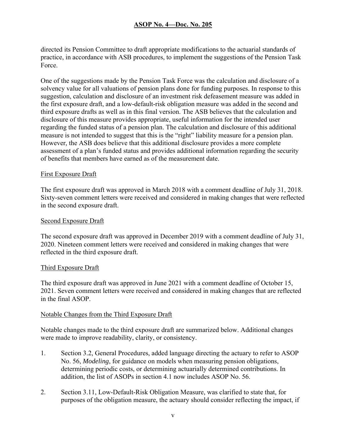directed its Pension Committee to draft appropriate modifications to the actuarial standards of practice, in accordance with ASB procedures, to implement the suggestions of the Pension Task Force.

One of the suggestions made by the Pension Task Force was the calculation and disclosure of a solvency value for all valuations of pension plans done for funding purposes. In response to this suggestion, calculation and disclosure of an investment risk defeasement measure was added in the first exposure draft, and a low-default-risk obligation measure was added in the second and third exposure drafts as well as in this final version. The ASB believes that the calculation and disclosure of this measure provides appropriate, useful information for the intended user regarding the funded status of a pension plan. The calculation and disclosure of this additional measure is not intended to suggest that this is the "right" liability measure for a pension plan. However, the ASB does believe that this additional disclosure provides a more complete assessment of a plan's funded status and provides additional information regarding the security of benefits that members have earned as of the measurement date.

#### First Exposure Draft

The first exposure draft was approved in March 2018 with a comment deadline of July 31, 2018. Sixty-seven comment letters were received and considered in making changes that were reflected in the second exposure draft.

#### Second Exposure Draft

The second exposure draft was approved in December 2019 with a comment deadline of July 31, 2020. Nineteen comment letters were received and considered in making changes that were reflected in the third exposure draft.

#### Third Exposure Draft

The third exposure draft was approved in June 2021 with a comment deadline of October 15, 2021. Seven comment letters were received and considered in making changes that are reflected in the final ASOP.

#### Notable Changes from the Third Exposure Draft

Notable changes made to the third exposure draft are summarized below. Additional changes were made to improve readability, clarity, or consistency.

- 1. Section 3.2, General Procedures, added language directing the actuary to refer to ASOP No. 56, *Modeling*, for guidance on models when measuring pension obligations, determining periodic costs, or determining actuarially determined contributions. In addition, the list of ASOPs in section 4.1 now includes ASOP No. 56.
- 2. Section 3.11, Low-Default-Risk Obligation Measure, was clarified to state that, for purposes of the obligation measure, the actuary should consider reflecting the impact, if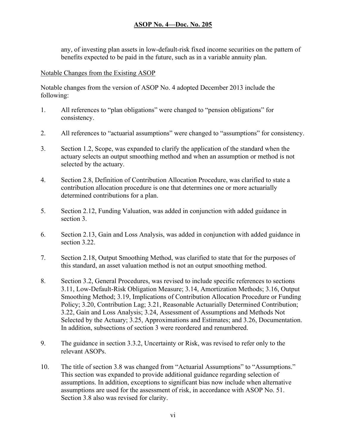any, of investing plan assets in low-default-risk fixed income securities on the pattern of benefits expected to be paid in the future, such as in a variable annuity plan.

#### Notable Changes from the Existing ASOP

Notable changes from the version of ASOP No. 4 adopted December 2013 include the following:

- 1. All references to "plan obligations" were changed to "pension obligations" for consistency.
- 2. All references to "actuarial assumptions" were changed to "assumptions" for consistency.
- 3. Section 1.2, Scope, was expanded to clarify the application of the standard when the actuary selects an output smoothing method and when an assumption or method is not selected by the actuary.
- 4. Section 2.8, Definition of Contribution Allocation Procedure, was clarified to state a contribution allocation procedure is one that determines one or more actuarially determined contributions for a plan.
- 5. Section 2.12, Funding Valuation, was added in conjunction with added guidance in section 3.
- 6. Section 2.13, Gain and Loss Analysis, was added in conjunction with added guidance in section 3.22.
- 7. Section 2.18, Output Smoothing Method, was clarified to state that for the purposes of this standard, an asset valuation method is not an output smoothing method.
- 8. Section 3.2, General Procedures, was revised to include specific references to sections 3.11, Low-Default-Risk Obligation Measure; 3.14, Amortization Methods; 3.16, Output Smoothing Method; 3.19, Implications of Contribution Allocation Procedure or Funding Policy; 3.20, Contribution Lag; 3.21, Reasonable Actuarially Determined Contribution; 3.22, Gain and Loss Analysis; 3.24, Assessment of Assumptions and Methods Not Selected by the Actuary; 3.25, Approximations and Estimates; and 3.26, Documentation. In addition, subsections of section 3 were reordered and renumbered.
- 9. The guidance in section 3.3.2, Uncertainty or Risk, was revised to refer only to the relevant ASOPs.
- 10. The title of section 3.8 was changed from "Actuarial Assumptions" to "Assumptions." This section was expanded to provide additional guidance regarding selection of assumptions. In addition, exceptions to significant bias now include when alternative assumptions are used for the assessment of risk, in accordance with ASOP No. 51. Section 3.8 also was revised for clarity.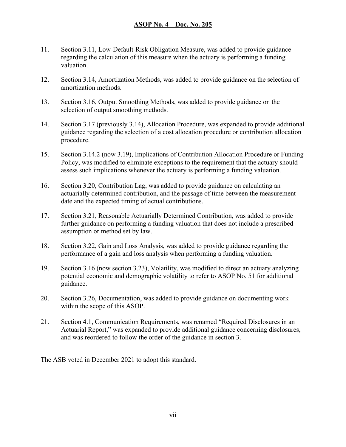- 11. Section 3.11, Low-Default-Risk Obligation Measure, was added to provide guidance regarding the calculation of this measure when the actuary is performing a funding valuation.
- 12. Section 3.14, Amortization Methods, was added to provide guidance on the selection of amortization methods.
- 13. Section 3.16, Output Smoothing Methods, was added to provide guidance on the selection of output smoothing methods.
- 14. Section 3.17 (previously 3.14), Allocation Procedure, was expanded to provide additional guidance regarding the selection of a cost allocation procedure or contribution allocation procedure.
- 15. Section 3.14.2 (now 3.19), Implications of Contribution Allocation Procedure or Funding Policy, was modified to eliminate exceptions to the requirement that the actuary should assess such implications whenever the actuary is performing a funding valuation.
- 16. Section 3.20, Contribution Lag, was added to provide guidance on calculating an actuarially determined contribution, and the passage of time between the measurement date and the expected timing of actual contributions.
- 17. Section 3.21, Reasonable Actuarially Determined Contribution, was added to provide further guidance on performing a funding valuation that does not include a prescribed assumption or method set by law.
- 18. Section 3.22, Gain and Loss Analysis, was added to provide guidance regarding the performance of a gain and loss analysis when performing a funding valuation.
- 19. Section 3.16 (now section 3.23), Volatility, was modified to direct an actuary analyzing potential economic and demographic volatility to refer to ASOP No. 51 for additional guidance.
- 20. Section 3.26, Documentation, was added to provide guidance on documenting work within the scope of this ASOP.
- 21. Section 4.1, Communication Requirements, was renamed "Required Disclosures in an Actuarial Report," was expanded to provide additional guidance concerning disclosures, and was reordered to follow the order of the guidance in section 3.

The ASB voted in December 2021 to adopt this standard.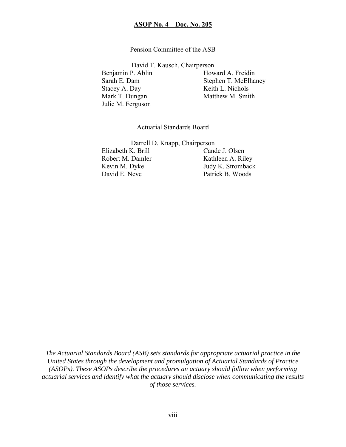#### Pension Committee of the ASB

David T. Kausch, Chairperson

Benjamin P. Ablin Howard A. Freidin Stacey A. Day Keith L. Nichols Mark T. Dungan Matthew M. Smith Julie M. Ferguson

Sarah E. Dam Stephen T. McElhaney

Actuarial Standards Board

Darrell D. Knapp, Chairperson Elizabeth K. Brill Cande J. Olsen Robert M. Damler Kathleen A. Riley Kevin M. Dyke Judy K. Stromback David E. Neve Patrick B. Woods

*The Actuarial Standards Board (ASB) sets standards for appropriate actuarial practice in the United States through the development and promulgation of Actuarial Standards of Practice (ASOPs). These ASOPs describe the procedures an actuary should follow when performing actuarial services and identify what the actuary should disclose when communicating the results of those services.*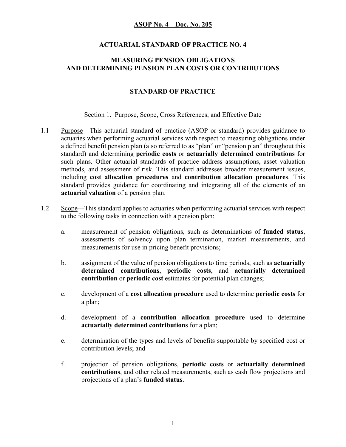#### **ACTUARIAL STANDARD OF PRACTICE NO. 4**

#### **MEASURING PENSION OBLIGATIONS AND DETERMINING PENSION PLAN COSTS OR CONTRIBUTIONS**

#### **STANDARD OF PRACTICE**

#### Section 1. Purpose, Scope, Cross References, and Effective Date

- 1.1 Purpose—This actuarial standard of practice (ASOP or standard) provides guidance to actuaries when performing actuarial services with respect to measuring obligations under a defined benefit pension plan (also referred to as "plan" or "pension plan" throughout this standard) and determining **periodic costs** or **actuarially determined contributions** for such plans. Other actuarial standards of practice address assumptions, asset valuation methods, and assessment of risk. This standard addresses broader measurement issues, including **cost allocation procedures** and **contribution allocation procedures**. This standard provides guidance for coordinating and integrating all of the elements of an **actuarial valuation** of a pension plan.
- 1.2 Scope—This standard applies to actuaries when performing actuarial services with respect to the following tasks in connection with a pension plan:
	- a. measurement of pension obligations, such as determinations of **funded status**, assessments of solvency upon plan termination, market measurements, and measurements for use in pricing benefit provisions;
	- b. assignment of the value of pension obligations to time periods, such as **actuarially determined contributions**, **periodic costs**, and **actuarially determined contribution** or **periodic cost** estimates for potential plan changes;
	- c. development of a **cost allocation procedure** used to determine **periodic costs** for a plan;
	- d. development of a **contribution allocation procedure** used to determine **actuarially determined contributions** for a plan;
	- e. determination of the types and levels of benefits supportable by specified cost or contribution levels; and
	- f. projection of pension obligations, **periodic costs** or **actuarially determined contributions**, and other related measurements, such as cash flow projections and projections of a plan's **funded status**.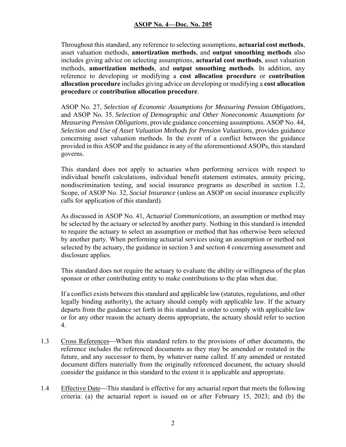Throughout this standard, any reference to selecting assumptions, **actuarial cost methods**, asset valuation methods, **amortization methods**, and **output smoothing methods** also includes giving advice on selecting assumptions, **actuarial cost methods**, asset valuation methods, **amortization methods**, and **output smoothing methods**. In addition, any reference to developing or modifying a **cost allocation procedure** or **contribution allocation procedure** includes giving advice on developing or modifying a **cost allocation procedure** or **contribution allocation procedure**.

ASOP No. 27, *Selection of Economic Assumptions for Measuring Pension Obligations*, and ASOP No. 35, *Selection of Demographic and Other Noneconomic Assumptions for Measuring Pension Obligations*, provide guidance concerning assumptions. ASOP No. 44, *Selection and Use of Asset Valuation Methods for Pension Valuations*, provides guidance concerning asset valuation methods. In the event of a conflict between the guidance provided in this ASOP and the guidance in any of the aforementioned ASOPs, this standard governs.

This standard does not apply to actuaries when performing services with respect to individual benefit calculations, individual benefit statement estimates, annuity pricing, nondiscrimination testing, and social insurance programs as described in section 1.2, Scope, of ASOP No. 32, *Social Insurance* (unless an ASOP on social insurance explicitly calls for application of this standard).

As discussed in ASOP No. 41, *Actuarial Communications*, an assumption or method may be selected by the actuary or selected by another party. Nothing in this standard is intended to require the actuary to select an assumption or method that has otherwise been selected by another party. When performing actuarial services using an assumption or method not selected by the actuary, the guidance in section 3 and section 4 concerning assessment and disclosure applies.

This standard does not require the actuary to evaluate the ability or willingness of the plan sponsor or other contributing entity to make contributions to the plan when due.

If a conflict exists between this standard and applicable law (statutes, regulations, and other legally binding authority), the actuary should comply with applicable law. If the actuary departs from the guidance set forth in this standard in order to comply with applicable law or for any other reason the actuary deems appropriate, the actuary should refer to section 4.

- 1.3 Cross References—When this standard refers to the provisions of other documents, the reference includes the referenced documents as they may be amended or restated in the future, and any successor to them, by whatever name called. If any amended or restated document differs materially from the originally referenced document, the actuary should consider the guidance in this standard to the extent it is applicable and appropriate.
- 1.4 Effective Date—This standard is effective for any actuarial report that meets the following criteria: (a) the actuarial report is issued on or after February 15, 2023; and (b) the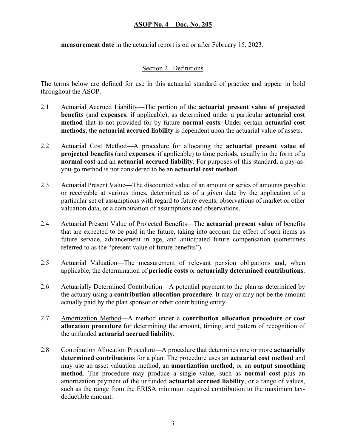**measurement date** in the actuarial report is on or after February 15, 2023.

### Section 2. Definitions

The terms below are defined for use in this actuarial standard of practice and appear in bold throughout the ASOP.

- 2.1 Actuarial Accrued Liability—The portion of the **actuarial present value of projected benefits** (and **expenses**, if applicable), as determined under a particular **actuarial cost method** that is not provided for by future **normal costs**. Under certain **actuarial cost methods**, the **actuarial accrued liability** is dependent upon the actuarial value of assets.
- 2.2 Actuarial Cost Method—A procedure for allocating the **actuarial present value of projected benefits** (and **expenses**, if applicable) to time periods, usually in the form of a **normal cost** and an **actuarial accrued liability**. For purposes of this standard, a pay-asyou-go method is not considered to be an **actuarial cost method**.
- 2.3 Actuarial Present Value—The discounted value of an amount or series of amounts payable or receivable at various times, determined as of a given date by the application of a particular set of assumptions with regard to future events, observations of market or other valuation data, or a combination of assumptions and observations.
- 2.4 Actuarial Present Value of Projected Benefits—The **actuarial present value** of benefits that are expected to be paid in the future, taking into account the effect of such items as future service, advancement in age, and anticipated future compensation (sometimes referred to as the "present value of future benefits").
- 2.5 Actuarial Valuation—The measurement of relevant pension obligations and, when applicable, the determination of **periodic costs** or **actuarially determined contributions**.
- 2.6 Actuarially Determined Contribution—A potential payment to the plan as determined by the actuary using a **contribution allocation procedure**. It may or may not be the amount actually paid by the plan sponsor or other contributing entity.
- 2.7 Amortization Method-A method under a **contribution allocation procedure** or **cost allocation procedure** for determining the amount, timing, and pattern of recognition of the unfunded **actuarial accrued liability**.
- 2.8 Contribution Allocation Procedure—A procedure that determines one or more **actuarially determined contributions** for a plan. The procedure uses an **actuarial cost method** and may use an asset valuation method, an **amortization method**, or an **output smoothing method**. The procedure may produce a single value, such as **normal cost** plus an amortization payment of the unfunded **actuarial accrued liability**, or a range of values, such as the range from the ERISA minimum required contribution to the maximum taxdeductible amount.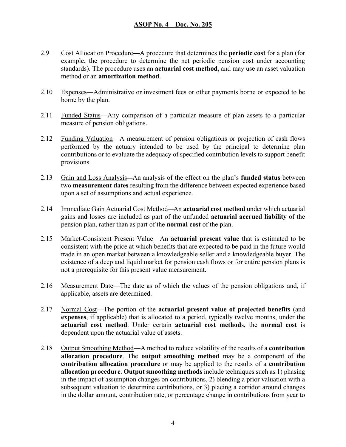- 2.9 Cost Allocation Procedure—A procedure that determines the **periodic cost** for a plan (for example, the procedure to determine the net periodic pension cost under accounting standards). The procedure uses an **actuarial cost method**, and may use an asset valuation method or an **amortization method**.
- 2.10 Expenses—Administrative or investment fees or other payments borne or expected to be borne by the plan.
- 2.11 Funded Status—Any comparison of a particular measure of plan assets to a particular measure of pension obligations.
- 2.12 Funding Valuation—A measurement of pension obligations or projection of cash flows performed by the actuary intended to be used by the principal to determine plan contributions or to evaluate the adequacy of specified contribution levels to support benefit provisions.
- 2.13 Gain and Loss Analysis—An analysis of the effect on the plan's **funded status** between two **measurement dates** resulting from the difference between expected experience based upon a set of assumptions and actual experience.
- 2.14 Immediate Gain Actuarial Cost Method—An **actuarial cost method** under which actuarial gains and losses are included as part of the unfunded **actuarial accrued liability** of the pension plan, rather than as part of the **normal cost** of the plan.
- 2.15 Market-Consistent Present Value—An **actuarial present value** that is estimated to be consistent with the price at which benefits that are expected to be paid in the future would trade in an open market between a knowledgeable seller and a knowledgeable buyer. The existence of a deep and liquid market for pension cash flows or for entire pension plans is not a prerequisite for this present value measurement.
- 2.16 Measurement Date—The date as of which the values of the pension obligations and, if applicable, assets are determined.
- 2.17 Normal Cost—The portion of the **actuarial present value of projected benefits** (and **expenses**, if applicable) that is allocated to a period, typically twelve months, under the **actuarial cost method**. Under certain **actuarial cost method**s, the **normal cost** is dependent upon the actuarial value of assets.
- 2.18 Output Smoothing Method—A method to reduce volatility of the results of a **contribution allocation procedure**. The **output smoothing method** may be a component of the **contribution allocation procedure** or may be applied to the results of a **contribution allocation procedure**. **Output smoothing methods** include techniques such as 1) phasing in the impact of assumption changes on contributions, 2) blending a prior valuation with a subsequent valuation to determine contributions, or 3) placing a corridor around changes in the dollar amount, contribution rate, or percentage change in contributions from year to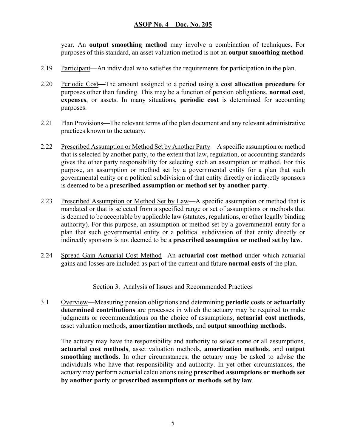year. An **output smoothing method** may involve a combination of techniques. For purposes of this standard, an asset valuation method is not an **output smoothing method**.

- 2.19 Participant—An individual who satisfies the requirements for participation in the plan.
- 2.20 Periodic Cost—The amount assigned to a period using a **cost allocation procedure** for purposes other than funding. This may be a function of pension obligations, **normal cost**, **expenses**, or assets. In many situations, **periodic cost** is determined for accounting purposes.
- 2.21 Plan Provisions—The relevant terms of the plan document and any relevant administrative practices known to the actuary.
- 2.22 Prescribed Assumption or Method Set by Another Party—A specific assumption or method that is selected by another party, to the extent that law, regulation, or accounting standards gives the other party responsibility for selecting such an assumption or method. For this purpose, an assumption or method set by a governmental entity for a plan that such governmental entity or a political subdivision of that entity directly or indirectly sponsors is deemed to be a **prescribed assumption or method set by another party**.
- 2.23 Prescribed Assumption or Method Set by Law—A specific assumption or method that is mandated or that is selected from a specified range or set of assumptions or methods that is deemed to be acceptable by applicable law (statutes, regulations, or other legally binding authority). For this purpose, an assumption or method set by a governmental entity for a plan that such governmental entity or a political subdivision of that entity directly or indirectly sponsors is not deemed to be a **prescribed assumption or method set by law**.
- 2.24 Spread Gain Actuarial Cost Method—An **actuarial cost method** under which actuarial gains and losses are included as part of the current and future **normal costs** of the plan.

#### Section 3. Analysis of Issues and Recommended Practices

3.1 Overview—Measuring pension obligations and determining **periodic costs** or **actuarially determined contributions** are processes in which the actuary may be required to make judgments or recommendations on the choice of assumptions, **actuarial cost methods**, asset valuation methods, **amortization methods**, and **output smoothing methods**.

The actuary may have the responsibility and authority to select some or all assumptions, **actuarial cost methods**, asset valuation methods, **amortization methods**, and **output smoothing methods**. In other circumstances, the actuary may be asked to advise the individuals who have that responsibility and authority. In yet other circumstances, the actuary may perform actuarial calculations using **prescribed assumptions or methods set by another party** or **prescribed assumptions or methods set by law**.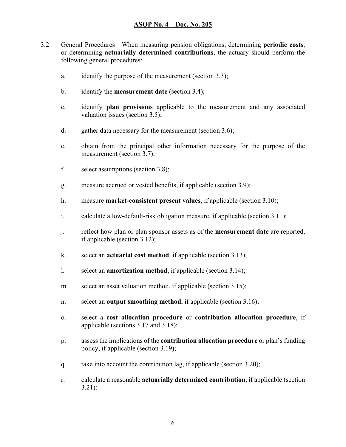- 3.2 General Procedures—When measuring pension obligations, determining **periodic costs**, or determining **actuarially determined contributions**, the actuary should perform the following general procedures:
	- a. identify the purpose of the measurement (section 3.3);
	- b. identify the **measurement date** (section 3.4);
	- c. identify **plan provisions** applicable to the measurement and any associated valuation issues (section 3.5);
	- d. gather data necessary for the measurement (section 3.6);
	- e. obtain from the principal other information necessary for the purpose of the measurement (section 3.7);
	- f. select assumptions (section 3.8);
	- g. measure accrued or vested benefits, if applicable (section 3.9);
	- h. measure **market-consistent present values**, if applicable (section 3.10);
	- i. calculate a low-default-risk obligation measure, if applicable (section 3.11);
	- j. reflect how plan or plan sponsor assets as of the **measurement date** are reported, if applicable (section 3.12);
	- k. select an **actuarial cost method**, if applicable (section 3.13);
	- l. select an **amortization method**, if applicable (section 3.14);
	- m. select an asset valuation method, if applicable (section 3.15);
	- n. select an **output smoothing method**, if applicable (section 3.16);
	- o. select a **cost allocation procedure** or **contribution allocation procedure**, if applicable (sections 3.17 and 3.18);
	- p. assess the implications of the **contribution allocation procedure** or plan's funding policy, if applicable (section 3.19);
	- q. take into account the contribution lag, if applicable (section 3.20);
	- r. calculate a reasonable **actuarially determined contribution**, if applicable (section 3.21);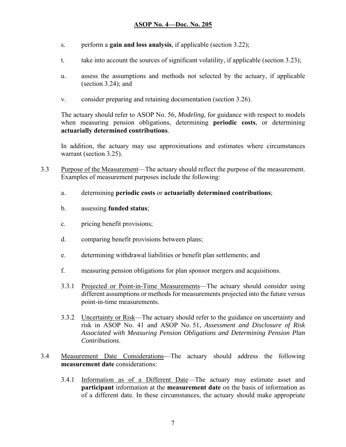- s. perform a **gain and loss analysis**, if applicable (section 3.22);
- t. take into account the sources of significant volatility, if applicable (section 3.23);
- u. assess the assumptions and methods not selected by the actuary, if applicable (section 3.24); and
- v. consider preparing and retaining documentation (section 3.26).

The actuary should refer to ASOP No. 56, *Modeling*, for guidance with respect to models when measuring pension obligations, determining **periodic costs**, or determining **actuarially determined contributions**.

In addition, the actuary may use approximations and estimates where circumstances warrant (section 3.25).

- 3.3 Purpose of the Measurement—The actuary should reflect the purpose of the measurement. Examples of measurement purposes include the following:
	- a. determining **periodic costs** or **actuarially determined contributions**;
	- b. assessing **funded status**;
	- c. pricing benefit provisions;
	- d. comparing benefit provisions between plans;
	- e. determining withdrawal liabilities or benefit plan settlements; and
	- f. measuring pension obligations for plan sponsor mergers and acquisitions.
	- 3.3.1 Projected or Point-in-Time Measurements—The actuary should consider using different assumptions or methods for measurements projected into the future versus point-in-time measurements.
	- 3.3.2 Uncertainty or Risk—The actuary should refer to the guidance on uncertainty and risk in ASOP No. 41 and ASOP No. 51, *Assessment and Disclosure of Risk Associated with Measuring Pension Obligations and Determining Pension Plan Contributions*.
- 3.4 Measurement Date Considerations—The actuary should address the following **measurement date** considerations:
	- 3.4.1 Information as of a Different Date—The actuary may estimate asset and **participant** information at the **measurement date** on the basis of information as of a different date. In these circumstances, the actuary should make appropriate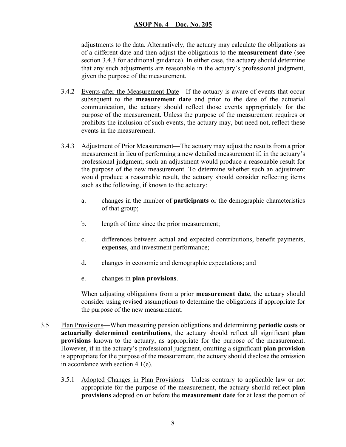adjustments to the data. Alternatively, the actuary may calculate the obligations as of a different date and then adjust the obligations to the **measurement date** (see section 3.4.3 for additional guidance). In either case, the actuary should determine that any such adjustments are reasonable in the actuary's professional judgment, given the purpose of the measurement.

- 3.4.2 Events after the Measurement Date—If the actuary is aware of events that occur subsequent to the **measurement date** and prior to the date of the actuarial communication, the actuary should reflect those events appropriately for the purpose of the measurement. Unless the purpose of the measurement requires or prohibits the inclusion of such events, the actuary may, but need not, reflect these events in the measurement.
- 3.4.3 Adjustment of Prior Measurement—The actuary may adjust the results from a prior measurement in lieu of performing a new detailed measurement if, in the actuary's professional judgment, such an adjustment would produce a reasonable result for the purpose of the new measurement. To determine whether such an adjustment would produce a reasonable result, the actuary should consider reflecting items such as the following, if known to the actuary:
	- a. changes in the number of **participants** or the demographic characteristics of that group;
	- b. length of time since the prior measurement;
	- c. differences between actual and expected contributions, benefit payments, **expenses**, and investment performance;
	- d. changes in economic and demographic expectations; and
	- e. changes in **plan provisions**.

When adjusting obligations from a prior **measurement date**, the actuary should consider using revised assumptions to determine the obligations if appropriate for the purpose of the new measurement.

- 3.5 Plan Provisions—When measuring pension obligations and determining **periodic costs** or **actuarially determined contributions**, the actuary should reflect all significant **plan provisions** known to the actuary, as appropriate for the purpose of the measurement. However, if in the actuary's professional judgment, omitting a significant **plan provision** is appropriate for the purpose of the measurement, the actuary should disclose the omission in accordance with section 4.1(e).
	- 3.5.1 Adopted Changes in Plan Provisions—Unless contrary to applicable law or not appropriate for the purpose of the measurement, the actuary should reflect **plan provisions** adopted on or before the **measurement date** for at least the portion of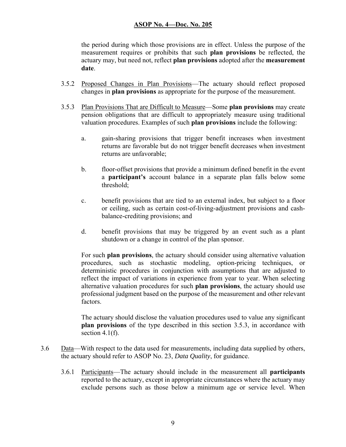the period during which those provisions are in effect. Unless the purpose of the measurement requires or prohibits that such **plan provisions** be reflected, the actuary may, but need not, reflect **plan provisions** adopted after the **measurement date**.

- 3.5.2 Proposed Changes in Plan Provisions—The actuary should reflect proposed changes in **plan provisions** as appropriate for the purpose of the measurement.
- 3.5.3 Plan Provisions That are Difficult to Measure—Some **plan provisions** may create pension obligations that are difficult to appropriately measure using traditional valuation procedures. Examples of such **plan provisions** include the following:
	- a. gain-sharing provisions that trigger benefit increases when investment returns are favorable but do not trigger benefit decreases when investment returns are unfavorable;
	- b. floor-offset provisions that provide a minimum defined benefit in the event a **participant's** account balance in a separate plan falls below some threshold;
	- c. benefit provisions that are tied to an external index, but subject to a floor or ceiling, such as certain cost-of-living-adjustment provisions and cash balance-crediting provisions; and
	- d. benefit provisions that may be triggered by an event such as a plant shutdown or a change in control of the plan sponsor.

For such **plan provisions**, the actuary should consider using alternative valuation procedures, such as stochastic modeling, option-pricing techniques, or deterministic procedures in conjunction with assumptions that are adjusted to reflect the impact of variations in experience from year to year. When selecting alternative valuation procedures for such **plan provisions**, the actuary should use professional judgment based on the purpose of the measurement and other relevant factors.

The actuary should disclose the valuation procedures used to value any significant **plan provisions** of the type described in this section 3.5.3, in accordance with section 4.1 $(f)$ .

- 3.6 Data—With respect to the data used for measurements, including data supplied by others, the actuary should refer to ASOP No. 23, *Data Quality*, for guidance.
	- 3.6.1 Participants—The actuary should include in the measurement all **participants** reported to the actuary, except in appropriate circumstances where the actuary may exclude persons such as those below a minimum age or service level. When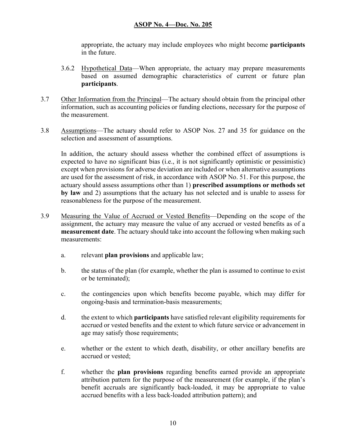appropriate, the actuary may include employees who might become **participants** in the future.

- 3.6.2 Hypothetical Data—When appropriate, the actuary may prepare measurements based on assumed demographic characteristics of current or future plan **participants**.
- 3.7 Other Information from the Principal—The actuary should obtain from the principal other information, such as accounting policies or funding elections, necessary for the purpose of the measurement.
- 3.8 Assumptions—The actuary should refer to ASOP Nos. 27 and 35 for guidance on the selection and assessment of assumptions.

In addition, the actuary should assess whether the combined effect of assumptions is expected to have no significant bias (i.e., it is not significantly optimistic or pessimistic) except when provisions for adverse deviation are included or when alternative assumptions are used for the assessment of risk, in accordance with ASOP No. 51. For this purpose, the actuary should assess assumptions other than 1) **prescribed assumptions or methods set by law** and 2) assumptions that the actuary has not selected and is unable to assess for reasonableness for the purpose of the measurement.

- 3.9 Measuring the Value of Accrued or Vested Benefits—Depending on the scope of the assignment, the actuary may measure the value of any accrued or vested benefits as of a **measurement date**. The actuary should take into account the following when making such measurements:
	- a. relevant **plan provisions** and applicable law;
	- b. the status of the plan (for example, whether the plan is assumed to continue to exist or be terminated);
	- c. the contingencies upon which benefits become payable, which may differ for ongoing-basis and termination-basis measurements;
	- d. the extent to which **participants** have satisfied relevant eligibility requirements for accrued or vested benefits and the extent to which future service or advancement in age may satisfy those requirements;
	- e. whether or the extent to which death, disability, or other ancillary benefits are accrued or vested;
	- f. whether the **plan provisions** regarding benefits earned provide an appropriate attribution pattern for the purpose of the measurement (for example, if the plan's benefit accruals are significantly back-loaded, it may be appropriate to value accrued benefits with a less back-loaded attribution pattern); and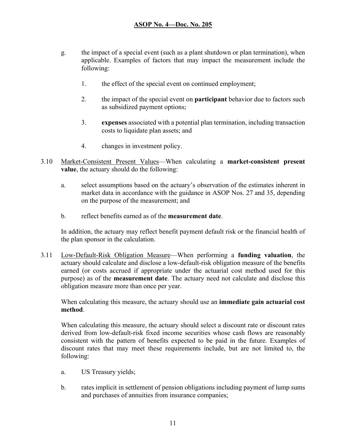- g. the impact of a special event (such as a plant shutdown or plan termination), when applicable. Examples of factors that may impact the measurement include the following:
	- 1. the effect of the special event on continued employment;
	- 2. the impact of the special event on **participant** behavior due to factors such as subsidized payment options;
	- 3. **expenses** associated with a potential plan termination, including transaction costs to liquidate plan assets; and
	- 4. changes in investment policy.
- 3.10 Market-Consistent Present Values—When calculating a **market-consistent present value**, the actuary should do the following:
	- a. select assumptions based on the actuary's observation of the estimates inherent in market data in accordance with the guidance in ASOP Nos. 27 and 35, depending on the purpose of the measurement; and
	- b. reflect benefits earned as of the **measurement date**.

 In addition, the actuary may reflect benefit payment default risk or the financial health of the plan sponsor in the calculation.

3.11 Low-Default-Risk Obligation Measure—When performing a **funding valuation**, the actuary should calculate and disclose a low-default-risk obligation measure of the benefits earned (or costs accrued if appropriate under the actuarial cost method used for this purpose) as of the **measurement date**. The actuary need not calculate and disclose this obligation measure more than once per year.

When calculating this measure, the actuary should use an **immediate gain actuarial cost method**.

When calculating this measure, the actuary should select a discount rate or discount rates derived from low-default-risk fixed income securities whose cash flows are reasonably consistent with the pattern of benefits expected to be paid in the future. Examples of discount rates that may meet these requirements include, but are not limited to, the following:

- a. US Treasury yields;
- b. rates implicit in settlement of pension obligations including payment of lump sums and purchases of annuities from insurance companies;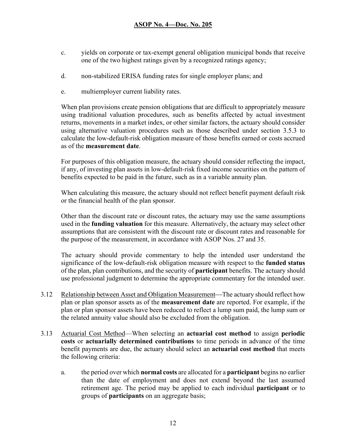- c. yields on corporate or tax-exempt general obligation municipal bonds that receive one of the two highest ratings given by a recognized ratings agency;
- d. non-stabilized ERISA funding rates for single employer plans; and
- e. multiemployer current liability rates.

When plan provisions create pension obligations that are difficult to appropriately measure using traditional valuation procedures, such as benefits affected by actual investment returns, movements in a market index, or other similar factors, the actuary should consider using alternative valuation procedures such as those described under section 3.5.3 to calculate the low-default-risk obligation measure of those benefits earned or costs accrued as of the **measurement date**.

For purposes of this obligation measure, the actuary should consider reflecting the impact, if any, of investing plan assets in low-default-risk fixed income securities on the pattern of benefits expected to be paid in the future, such as in a variable annuity plan.

When calculating this measure, the actuary should not reflect benefit payment default risk or the financial health of the plan sponsor.

Other than the discount rate or discount rates, the actuary may use the same assumptions used in the **funding valuation** for this measure. Alternatively, the actuary may select other assumptions that are consistent with the discount rate or discount rates and reasonable for the purpose of the measurement, in accordance with ASOP Nos. 27 and 35.

The actuary should provide commentary to help the intended user understand the significance of the low-default-risk obligation measure with respect to the **funded status** of the plan, plan contributions, and the security of **participant** benefits. The actuary should use professional judgment to determine the appropriate commentary for the intended user.

- 3.12 Relationship between Asset and Obligation Measurement—The actuary should reflect how plan or plan sponsor assets as of the **measurement date** are reported. For example, if the plan or plan sponsor assets have been reduced to reflect a lump sum paid, the lump sum or the related annuity value should also be excluded from the obligation.
- 3.13 Actuarial Cost Method—When selecting an **actuarial cost method** to assign **periodic costs** or **actuarially determined contributions** to time periods in advance of the time benefit payments are due, the actuary should select an **actuarial cost method** that meets the following criteria:
	- a. the period over which **normal costs** are allocated for a **participant** begins no earlier than the date of employment and does not extend beyond the last assumed retirement age. The period may be applied to each individual **participant** or to groups of **participants** on an aggregate basis;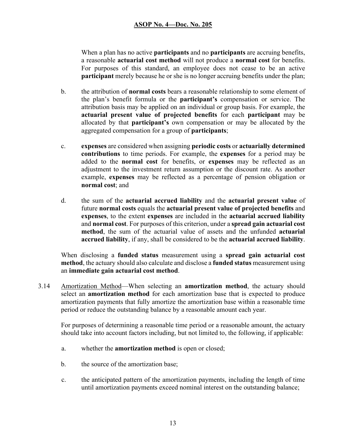When a plan has no active **participants** and no **participants** are accruing benefits, a reasonable **actuarial cost method** will not produce a **normal cost** for benefits. For purposes of this standard, an employee does not cease to be an active **participant** merely because he or she is no longer accruing benefits under the plan;

- b. the attribution of **normal costs** bears a reasonable relationship to some element of the plan's benefit formula or the **participant's** compensation or service. The attribution basis may be applied on an individual or group basis. For example, the **actuarial present value of projected benefits** for each **participant** may be allocated by that **participant's** own compensation or may be allocated by the aggregated compensation for a group of **participants**;
- c. **expenses** are considered when assigning **periodic costs** or **actuarially determined contributions** to time periods. For example, the **expenses** for a period may be added to the **normal cost** for benefits, or **expenses** may be reflected as an adjustment to the investment return assumption or the discount rate. As another example, **expenses** may be reflected as a percentage of pension obligation or **normal cost**; and
- d. the sum of the **actuarial accrued liability** and the **actuarial present value** of future **normal costs** equals the **actuarial present value of projected benefits** and **expenses**, to the extent **expenses** are included in the **actuarial accrued liability**  and **normal cost**. For purposes of this criterion, under a **spread gain actuarial cost method**, the sum of the actuarial value of assets and the unfunded **actuarial accrued liability**, if any, shall be considered to be the **actuarial accrued liability**.

When disclosing a **funded status** measurement using a **spread gain actuarial cost method**, the actuary should also calculate and disclose a **funded status** measurement using an **immediate gain actuarial cost method**.

3.14 Amortization Method—When selecting an **amortization method**, the actuary should select an **amortization method** for each amortization base that is expected to produce amortization payments that fully amortize the amortization base within a reasonable time period or reduce the outstanding balance by a reasonable amount each year.

For purposes of determining a reasonable time period or a reasonable amount, the actuary should take into account factors including, but not limited to, the following, if applicable:

- a. whether the **amortization method** is open or closed;
- b. the source of the amortization base;
- c. the anticipated pattern of the amortization payments, including the length of time until amortization payments exceed nominal interest on the outstanding balance;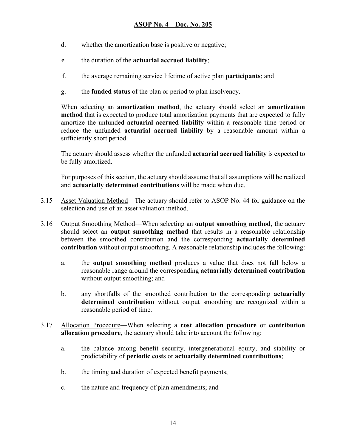- d. whether the amortization base is positive or negative;
- e. the duration of the **actuarial accrued liability**;
- f. the average remaining service lifetime of active plan **participants**; and
- g. the **funded status** of the plan or period to plan insolvency.

When selecting an **amortization method**, the actuary should select an **amortization method** that is expected to produce total amortization payments that are expected to fully amortize the unfunded **actuarial accrued liability** within a reasonable time period or reduce the unfunded **actuarial accrued liability** by a reasonable amount within a sufficiently short period.

The actuary should assess whether the unfunded **actuarial accrued liability** is expected to be fully amortized.

For purposes of this section, the actuary should assume that all assumptions will be realized and **actuarially determined contributions** will be made when due.

- 3.15 Asset Valuation Method—The actuary should refer to ASOP No. 44 for guidance on the selection and use of an asset valuation method.
- 3.16 Output Smoothing Method—When selecting an **output smoothing method**, the actuary should select an **output smoothing method** that results in a reasonable relationship between the smoothed contribution and the corresponding **actuarially determined contribution** without output smoothing. A reasonable relationship includes the following:
	- a. the **output smoothing method** produces a value that does not fall below a reasonable range around the corresponding **actuarially determined contribution**  without output smoothing; and
	- b. any shortfalls of the smoothed contribution to the corresponding **actuarially determined contribution** without output smoothing are recognized within a reasonable period of time.
- 3.17 Allocation Procedure—When selecting a **cost allocation procedure** or **contribution allocation procedure**, the actuary should take into account the following:
	- a. the balance among benefit security, intergenerational equity, and stability or predictability of **periodic costs** or **actuarially determined contributions**;
	- b. the timing and duration of expected benefit payments;
	- c. the nature and frequency of plan amendments; and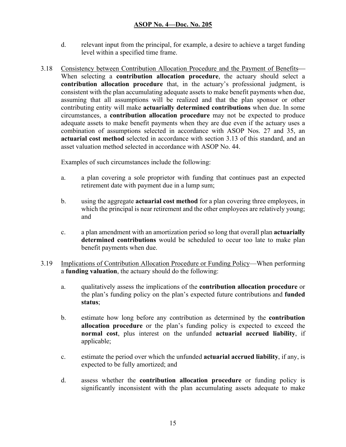- d. relevant input from the principal, for example, a desire to achieve a target funding level within a specified time frame.
- 3.18 Consistency between Contribution Allocation Procedure and the Payment of Benefits When selecting a **contribution allocation procedure**, the actuary should select a **contribution allocation procedure** that, in the actuary's professional judgment, is consistent with the plan accumulating adequate assets to make benefit payments when due, assuming that all assumptions will be realized and that the plan sponsor or other contributing entity will make **actuarially determined contributions** when due. In some circumstances, a **contribution allocation procedure** may not be expected to produce adequate assets to make benefit payments when they are due even if the actuary uses a combination of assumptions selected in accordance with ASOP Nos. 27 and 35, an **actuarial cost method** selected in accordance with section 3.13 of this standard, and an asset valuation method selected in accordance with ASOP No. 44.

Examples of such circumstances include the following:

- a. a plan covering a sole proprietor with funding that continues past an expected retirement date with payment due in a lump sum;
- b. using the aggregate **actuarial cost method** for a plan covering three employees, in which the principal is near retirement and the other employees are relatively young; and
- c. a plan amendment with an amortization period so long that overall plan **actuarially determined contributions** would be scheduled to occur too late to make plan benefit payments when due.
- 3.19 Implications of Contribution Allocation Procedure or Funding Policy—When performing a **funding valuation**, the actuary should do the following:
	- a. qualitatively assess the implications of the **contribution allocation procedure** or the plan's funding policy on the plan's expected future contributions and **funded status**;
	- b. estimate how long before any contribution as determined by the **contribution allocation procedure** or the plan's funding policy is expected to exceed the **normal cost**, plus interest on the unfunded **actuarial accrued liability**, if applicable;
	- c. estimate the period over which the unfunded **actuarial accrued liability**, if any, is expected to be fully amortized; and
	- d. assess whether the **contribution allocation procedure** or funding policy is significantly inconsistent with the plan accumulating assets adequate to make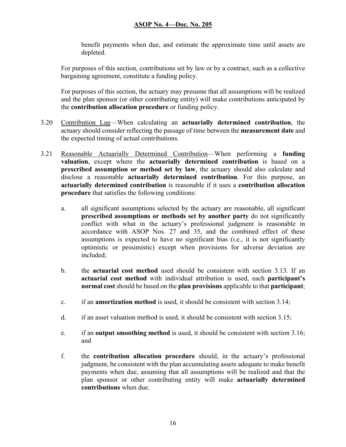benefit payments when due, and estimate the approximate time until assets are depleted.

For purposes of this section, contributions set by law or by a contract, such as a collective bargaining agreement, constitute a funding policy.

For purposes of this section, the actuary may presume that all assumptions will be realized and the plan sponsor (or other contributing entity) will make contributions anticipated by the **contribution allocation procedure** or funding policy.

- 3.20 Contribution Lag—When calculating an **actuarially determined contribution**, the actuary should consider reflecting the passage of time between the **measurement date** and the expected timing of actual contributions.
- 3.21 Reasonable Actuarially Determined Contribution—When performing a **funding valuation**, except where the **actuarially determined contribution** is based on a **prescribed assumption or method set by law**, the actuary should also calculate and disclose a reasonable **actuarially determined contribution**. For this purpose, an **actuarially determined contribution** is reasonable if it uses a **contribution allocation procedure** that satisfies the following conditions:
	- a. all significant assumptions selected by the actuary are reasonable, all significant **prescribed assumptions or methods set by another party** do not significantly conflict with what in the actuary's professional judgment is reasonable in accordance with ASOP Nos. 27 and 35, and the combined effect of these assumptions is expected to have no significant bias (i.e., it is not significantly optimistic or pessimistic) except when provisions for adverse deviation are included;
	- b. the **actuarial cost method** used should be consistent with section 3.13. If an **actuarial cost method** with individual attribution is used, each **participant's normal cost** should be based on the **plan provisions** applicable to that **participant**;
	- c. if an **amortization method** is used, it should be consistent with section 3.14;
	- d. if an asset valuation method is used, it should be consistent with section 3.15;
	- e. if an **output smoothing method** is used, it should be consistent with section 3.16; and
	- f. the **contribution allocation procedure** should, in the actuary's professional judgment, be consistent with the plan accumulating assets adequate to make benefit payments when due, assuming that all assumptions will be realized and that the plan sponsor or other contributing entity will make **actuarially determined contributions** when due.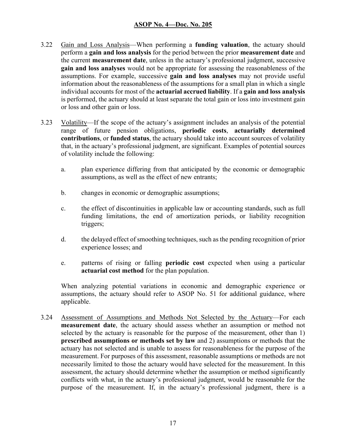- 3.22 Gain and Loss Analysis—When performing a **funding valuation**, the actuary should perform a **gain and loss analysis** for the period between the prior **measurement date** and the current **measurement date**, unless in the actuary's professional judgment, successive **gain and loss analyses** would not be appropriate for assessing the reasonableness of the assumptions. For example, successive **gain and loss analyses** may not provide useful information about the reasonableness of the assumptions for a small plan in which a single individual accounts for most of the **actuarial accrued liability**. If a **gain and loss analysis** is performed, the actuary should at least separate the total gain or loss into investment gain or loss and other gain or loss.
- 3.23 Volatility—If the scope of the actuary's assignment includes an analysis of the potential range of future pension obligations, **periodic costs**, **actuarially determined contributions**, or **funded status**, the actuary should take into account sources of volatility that, in the actuary's professional judgment, are significant. Examples of potential sources of volatility include the following:
	- a. plan experience differing from that anticipated by the economic or demographic assumptions, as well as the effect of new entrants;
	- b. changes in economic or demographic assumptions;
	- c. the effect of discontinuities in applicable law or accounting standards, such as full funding limitations, the end of amortization periods, or liability recognition triggers;
	- d. the delayed effect of smoothing techniques, such as the pending recognition of prior experience losses; and
	- e. patterns of rising or falling **periodic cost** expected when using a particular **actuarial cost method** for the plan population.

When analyzing potential variations in economic and demographic experience or assumptions, the actuary should refer to ASOP No. 51 for additional guidance, where applicable.

3.24 Assessment of Assumptions and Methods Not Selected by the Actuary—For each **measurement date**, the actuary should assess whether an assumption or method not selected by the actuary is reasonable for the purpose of the measurement, other than 1) **prescribed assumptions or methods set by law** and 2) assumptions or methods that the actuary has not selected and is unable to assess for reasonableness for the purpose of the measurement. For purposes of this assessment, reasonable assumptions or methods are not necessarily limited to those the actuary would have selected for the measurement. In this assessment, the actuary should determine whether the assumption or method significantly conflicts with what, in the actuary's professional judgment, would be reasonable for the purpose of the measurement. If, in the actuary's professional judgment, there is a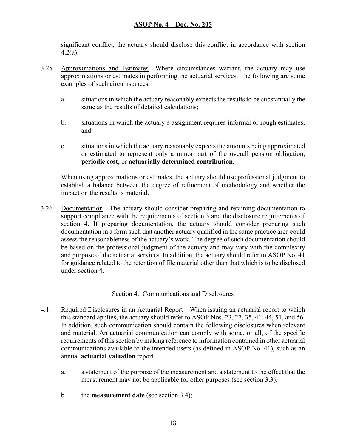significant conflict, the actuary should disclose this conflict in accordance with section  $4.2(a)$ .

- 3.25 Approximations and Estimates—Where circumstances warrant, the actuary may use approximations or estimates in performing the actuarial services. The following are some examples of such circumstances:
	- a. situations in which the actuary reasonably expects the results to be substantially the same as the results of detailed calculations;
	- b. situations in which the actuary's assignment requires informal or rough estimates; and
	- c. situations in which the actuary reasonably expects the amounts being approximated or estimated to represent only a minor part of the overall pension obligation, **periodic cost**, or **actuarially determined contribution**.

When using approximations or estimates, the actuary should use professional judgment to establish a balance between the degree of refinement of methodology and whether the impact on the results is material.

3.26 Documentation—The actuary should consider preparing and retaining documentation to support compliance with the requirements of section 3 and the disclosure requirements of section 4. If preparing documentation, the actuary should consider preparing such documentation in a form such that another actuary qualified in the same practice area could assess the reasonableness of the actuary's work. The degree of such documentation should be based on the professional judgment of the actuary and may vary with the complexity and purpose of the actuarial services. In addition, the actuary should refer to ASOP No. 41 for guidance related to the retention of file material other than that which is to be disclosed under section 4.

#### Section 4. Communications and Disclosures

- 4.1 Required Disclosures in an Actuarial Report—When issuing an actuarial report to which this standard applies, the actuary should refer to ASOP Nos. 23, 27, 35, 41, 44, 51, and 56. In addition, such communication should contain the following disclosures when relevant and material. An actuarial communication can comply with some, or all, of the specific requirements of this section by making reference to information contained in other actuarial communications available to the intended users (as defined in ASOP No. 41), such as an annual **actuarial valuation** report.
	- a. a statement of the purpose of the measurement and a statement to the effect that the measurement may not be applicable for other purposes (see section 3.3);
	- b. the **measurement date** (see section 3.4);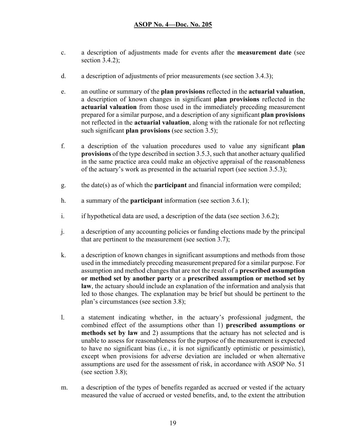- c. a description of adjustments made for events after the **measurement date** (see section 3.4.2);
- d. a description of adjustments of prior measurements (see section 3.4.3);
- e. an outline or summary of the **plan provisions** reflected in the **actuarial valuation**, a description of known changes in significant **plan provisions** reflected in the **actuarial valuation** from those used in the immediately preceding measurement prepared for a similar purpose, and a description of any significant **plan provisions** not reflected in the **actuarial valuation**, along with the rationale for not reflecting such significant **plan provisions** (see section 3.5);
- f. a description of the valuation procedures used to value any significant **plan provisions** of the type described in section 3.5.3, such that another actuary qualified in the same practice area could make an objective appraisal of the reasonableness of the actuary's work as presented in the actuarial report (see section 3.5.3);
- g. the date(s) as of which the **participant** and financial information were compiled;
- h. a summary of the **participant** information (see section 3.6.1);
- i. if hypothetical data are used, a description of the data (see section 3.6.2);
- j. a description of any accounting policies or funding elections made by the principal that are pertinent to the measurement (see section 3.7);
- k. a description of known changes in significant assumptions and methods from those used in the immediately preceding measurement prepared for a similar purpose. For assumption and method changes that are not the result of a **prescribed assumption or method set by another party** or a **prescribed assumption or method set by law**, the actuary should include an explanation of the information and analysis that led to those changes. The explanation may be brief but should be pertinent to the plan's circumstances (see section 3.8);
- l. a statement indicating whether, in the actuary's professional judgment, the combined effect of the assumptions other than 1) **prescribed assumptions or methods set by law** and 2) assumptions that the actuary has not selected and is unable to assess for reasonableness for the purpose of the measurement is expected to have no significant bias (i.e., it is not significantly optimistic or pessimistic), except when provisions for adverse deviation are included or when alternative assumptions are used for the assessment of risk, in accordance with ASOP No. 51 (see section 3.8);
- m. a description of the types of benefits regarded as accrued or vested if the actuary measured the value of accrued or vested benefits, and, to the extent the attribution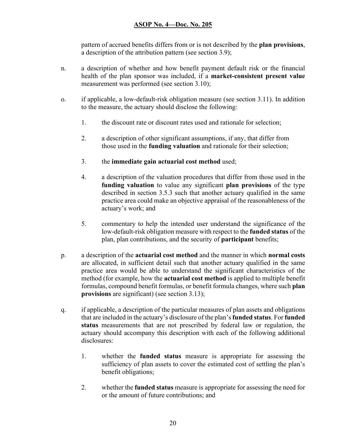pattern of accrued benefits differs from or is not described by the **plan provisions**, a description of the attribution pattern (see section 3.9);

- n. a description of whether and how benefit payment default risk or the financial health of the plan sponsor was included, if a **market-consistent present value**  measurement was performed (see section 3.10);
- o. if applicable, a low-default-risk obligation measure (see section 3.11). In addition to the measure, the actuary should disclose the following:
	- 1. the discount rate or discount rates used and rationale for selection;
	- 2. a description of other significant assumptions, if any, that differ from those used in the **funding valuation** and rationale for their selection;
	- 3. the **immediate gain actuarial cost method** used;
	- 4. a description of the valuation procedures that differ from those used in the **funding valuation** to value any significant **plan provisions** of the type described in section 3.5.3 such that another actuary qualified in the same practice area could make an objective appraisal of the reasonableness of the actuary's work; and
	- 5. commentary to help the intended user understand the significance of the low-default-risk obligation measure with respect to the **funded status** of the plan, plan contributions, and the security of **participant** benefits;
- p. a description of the **actuarial cost method** and the manner in which **normal costs** are allocated, in sufficient detail such that another actuary qualified in the same practice area would be able to understand the significant characteristics of the method (for example, how the **actuarial cost method** is applied to multiple benefit formulas, compound benefit formulas, or benefit formula changes, where such **plan provisions** are significant) (see section 3.13);
- q. if applicable, a description of the particular measures of plan assets and obligations that are included in the actuary's disclosure of the plan's **funded status**. For **funded status** measurements that are not prescribed by federal law or regulation, the actuary should accompany this description with each of the following additional disclosures:
	- 1. whether the **funded status** measure is appropriate for assessing the sufficiency of plan assets to cover the estimated cost of settling the plan's benefit obligations;
	- 2. whether the **funded status** measure is appropriate for assessing the need for or the amount of future contributions; and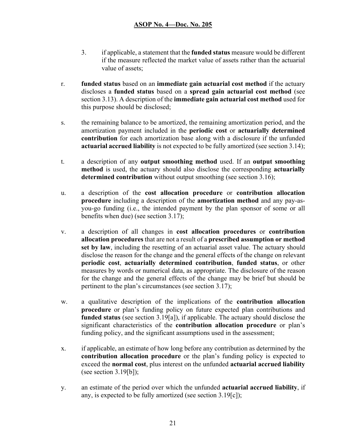- 3. if applicable, a statement that the **funded status** measure would be different if the measure reflected the market value of assets rather than the actuarial value of assets;
- r. **funded status** based on an **immediate gain actuarial cost method** if the actuary discloses a **funded status** based on a **spread gain actuarial cost method** (see section 3.13). A description of the **immediate gain actuarial cost method** used for this purpose should be disclosed;
- s. the remaining balance to be amortized, the remaining amortization period, and the amortization payment included in the **periodic cost** or **actuarially determined contribution** for each amortization base along with a disclosure if the unfunded **actuarial accrued liability** is not expected to be fully amortized (see section 3.14);
- t. a description of any **output smoothing method** used. If an **output smoothing method** is used, the actuary should also disclose the corresponding **actuarially determined contribution** without output smoothing (see section 3.16);
- u. a description of the **cost allocation procedure** or **contribution allocation procedure** including a description of the **amortization method** and any pay-asyou-go funding (i.e., the intended payment by the plan sponsor of some or all benefits when due) (see section 3.17);
- v. a description of all changes in **cost allocation procedures** or **contribution allocation procedures** that are not a result of a **prescribed assumption or method set by law**, including the resetting of an actuarial asset value. The actuary should disclose the reason for the change and the general effects of the change on relevant **periodic cost**, **actuarially determined contribution**, **funded status**, or other measures by words or numerical data, as appropriate. The disclosure of the reason for the change and the general effects of the change may be brief but should be pertinent to the plan's circumstances (see section 3.17);
- w. a qualitative description of the implications of the **contribution allocation procedure** or plan's funding policy on future expected plan contributions and **funded status** (see section 3.19[a]), if applicable. The actuary should disclose the significant characteristics of the **contribution allocation procedure** or plan's funding policy, and the significant assumptions used in the assessment;
- x. if applicable, an estimate of how long before any contribution as determined by the **contribution allocation procedure** or the plan's funding policy is expected to exceed the **normal cost**, plus interest on the unfunded **actuarial accrued liability** (see section  $3.19[b]$ );
- y. an estimate of the period over which the unfunded **actuarial accrued liability**, if any, is expected to be fully amortized (see section 3.19[c]);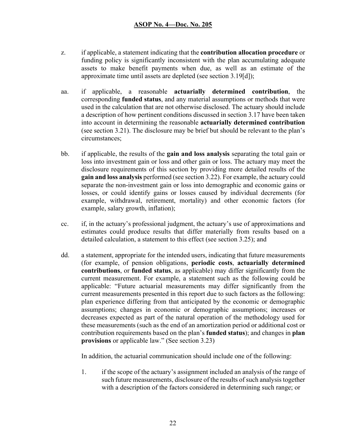- z. if applicable, a statement indicating that the **contribution allocation procedure** or funding policy is significantly inconsistent with the plan accumulating adequate assets to make benefit payments when due, as well as an estimate of the approximate time until assets are depleted (see section 3.19[d]);
- aa. if applicable, a reasonable **actuarially determined contribution**, the corresponding **funded status**, and any material assumptions or methods that were used in the calculation that are not otherwise disclosed. The actuary should include a description of how pertinent conditions discussed in section 3.17 have been taken into account in determining the reasonable **actuarially determined contribution** (see section 3.21). The disclosure may be brief but should be relevant to the plan's circumstances;
- bb. if applicable, the results of the **gain and loss analysis** separating the total gain or loss into investment gain or loss and other gain or loss. The actuary may meet the disclosure requirements of this section by providing more detailed results of the **gain and loss analysis** performed (see section 3.22). For example, the actuary could separate the non-investment gain or loss into demographic and economic gains or losses, or could identify gains or losses caused by individual decrements (for example, withdrawal, retirement, mortality) and other economic factors (for example, salary growth, inflation);
- cc. if, in the actuary's professional judgment, the actuary's use of approximations and estimates could produce results that differ materially from results based on a detailed calculation, a statement to this effect (see section 3.25); and
- dd. a statement, appropriate for the intended users, indicating that future measurements (for example, of pension obligations, **periodic costs**, **actuarially determined contributions**, or **funded status**, as applicable) may differ significantly from the current measurement. For example, a statement such as the following could be applicable: "Future actuarial measurements may differ significantly from the current measurements presented in this report due to such factors as the following: plan experience differing from that anticipated by the economic or demographic assumptions; changes in economic or demographic assumptions; increases or decreases expected as part of the natural operation of the methodology used for these measurements (such as the end of an amortization period or additional cost or contribution requirements based on the plan's **funded status**); and changes in **plan provisions** or applicable law." (See section 3.23)

In addition, the actuarial communication should include one of the following:

1. if the scope of the actuary's assignment included an analysis of the range of such future measurements, disclosure of the results of such analysis together with a description of the factors considered in determining such range; or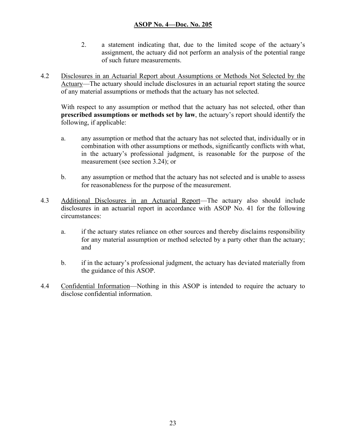- 2. a statement indicating that, due to the limited scope of the actuary's assignment, the actuary did not perform an analysis of the potential range of such future measurements.
- 4.2 Disclosures in an Actuarial Report about Assumptions or Methods Not Selected by the Actuary—The actuary should include disclosures in an actuarial report stating the source of any material assumptions or methods that the actuary has not selected.

With respect to any assumption or method that the actuary has not selected, other than **prescribed assumptions or methods set by law**, the actuary's report should identify the following, if applicable:

- a. any assumption or method that the actuary has not selected that, individually or in combination with other assumptions or methods, significantly conflicts with what, in the actuary's professional judgment, is reasonable for the purpose of the measurement (see section 3.24); or
- b. any assumption or method that the actuary has not selected and is unable to assess for reasonableness for the purpose of the measurement.
- 4.3 Additional Disclosures in an Actuarial Report—The actuary also should include disclosures in an actuarial report in accordance with ASOP No. 41 for the following circumstances:
	- a. if the actuary states reliance on other sources and thereby disclaims responsibility for any material assumption or method selected by a party other than the actuary; and
	- b. if in the actuary's professional judgment, the actuary has deviated materially from the guidance of this ASOP.
- 4.4 Confidential Information—Nothing in this ASOP is intended to require the actuary to disclose confidential information.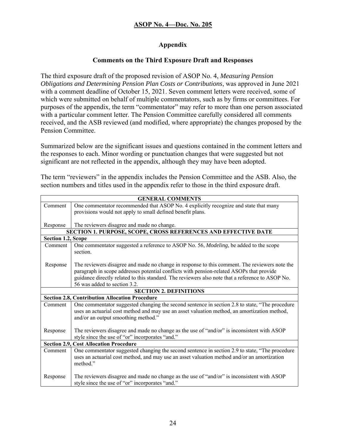## **Appendix**

## **Comments on the Third Exposure Draft and Responses**

The third exposure draft of the proposed revision of ASOP No. 4, *Measuring Pension Obligations and Determining Pension Plan Costs or Contributions*, was approved in June 2021 with a comment deadline of October 15, 2021. Seven comment letters were received, some of which were submitted on behalf of multiple commentators, such as by firms or committees. For purposes of the appendix, the term "commentator" may refer to more than one person associated with a particular comment letter. The Pension Committee carefully considered all comments received, and the ASB reviewed (and modified, where appropriate) the changes proposed by the Pension Committee.

Summarized below are the significant issues and questions contained in the comment letters and the responses to each. Minor wording or punctuation changes that were suggested but not significant are not reflected in the appendix, although they may have been adopted.

The term "reviewers" in the appendix includes the Pension Committee and the ASB. Also, the section numbers and titles used in the appendix refer to those in the third exposure draft.

|                    | <b>GENERAL COMMENTS</b>                                                                          |
|--------------------|--------------------------------------------------------------------------------------------------|
| Comment            | One commentator recommended that ASOP No. 4 explicitly recognize and state that many             |
|                    | provisions would not apply to small defined benefit plans.                                       |
|                    |                                                                                                  |
| Response           | The reviewers disagree and made no change.                                                       |
|                    | SECTION 1. PURPOSE, SCOPE, CROSS REFERENCES AND EFFECTIVE DATE                                   |
| Section 1.2, Scope |                                                                                                  |
| Comment            | One commentator suggested a reference to ASOP No. 56, Modeling, be added to the scope            |
|                    | section.                                                                                         |
|                    |                                                                                                  |
| Response           | The reviewers disagree and made no change in response to this comment. The reviewers note the    |
|                    | paragraph in scope addresses potential conflicts with pension-related ASOPs that provide         |
|                    | guidance directly related to this standard. The reviewers also note that a reference to ASOP No. |
|                    | 56 was added to section 3.2.                                                                     |
|                    | <b>SECTION 2. DEFINITIONS</b>                                                                    |
|                    | <b>Section 2.8, Contribution Allocation Procedure</b>                                            |
| Comment            | One commentator suggested changing the second sentence in section 2.8 to state, "The procedure   |
|                    | uses an actuarial cost method and may use an asset valuation method, an amortization method,     |
|                    | and/or an output smoothing method."                                                              |
|                    |                                                                                                  |
| Response           | The reviewers disagree and made no change as the use of "and/or" is inconsistent with ASOP       |
|                    | style since the use of "or" incorporates "and."                                                  |
|                    | <b>Section 2.9, Cost Allocation Procedure</b>                                                    |
| Comment            | One commentator suggested changing the second sentence in section 2.9 to state, "The procedure   |
|                    | uses an actuarial cost method, and may use an asset valuation method and/or an amortization      |
|                    | method."                                                                                         |
|                    |                                                                                                  |
| Response           | The reviewers disagree and made no change as the use of "and/or" is inconsistent with ASOP       |
|                    | style since the use of "or" incorporates "and."                                                  |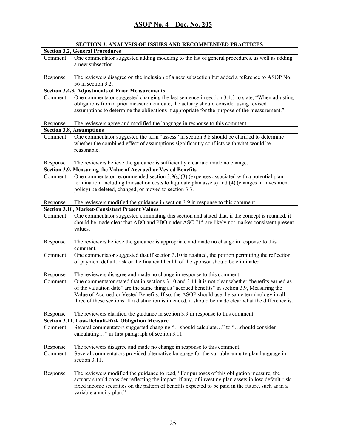|          | <b>SECTION 3. ANALYSIS OF ISSUES AND RECOMMENDED PRACTICES</b>                                                                                                                                                                                                                                                                                                                                              |
|----------|-------------------------------------------------------------------------------------------------------------------------------------------------------------------------------------------------------------------------------------------------------------------------------------------------------------------------------------------------------------------------------------------------------------|
|          | <b>Section 3.2, General Procedures</b>                                                                                                                                                                                                                                                                                                                                                                      |
| Comment  | One commentator suggested adding modeling to the list of general procedures, as well as adding<br>a new subsection.                                                                                                                                                                                                                                                                                         |
| Response | The reviewers disagree on the inclusion of a new subsection but added a reference to ASOP No.<br>56 in section 3.2.                                                                                                                                                                                                                                                                                         |
|          | <b>Section 3.4.3, Adjustments of Prior Measurements</b>                                                                                                                                                                                                                                                                                                                                                     |
| Comment  | One commentator suggested changing the last sentence in section 3.4.3 to state, "When adjusting                                                                                                                                                                                                                                                                                                             |
|          | obligations from a prior measurement date, the actuary should consider using revised<br>assumptions to determine the obligations if appropriate for the purpose of the measurement."                                                                                                                                                                                                                        |
| Response | The reviewers agree and modified the language in response to this comment.                                                                                                                                                                                                                                                                                                                                  |
|          | <b>Section 3.8, Assumptions</b>                                                                                                                                                                                                                                                                                                                                                                             |
| Comment  | One commentator suggested the term "assess" in section 3.8 should be clarified to determine<br>whether the combined effect of assumptions significantly conflicts with what would be<br>reasonable.                                                                                                                                                                                                         |
| Response | The reviewers believe the guidance is sufficiently clear and made no change.                                                                                                                                                                                                                                                                                                                                |
|          | Section 3.9, Measuring the Value of Accrued or Vested Benefits                                                                                                                                                                                                                                                                                                                                              |
| Comment  | One commentator recommended section $3.9(g)(3)$ (expenses associated with a potential plan<br>termination, including transaction costs to liquidate plan assets) and (4) (changes in investment<br>policy) be deleted, changed, or moved to section 3.3.                                                                                                                                                    |
| Response | The reviewers modified the guidance in section 3.9 in response to this comment.<br><b>Section 3.10, Market-Consistent Present Values</b>                                                                                                                                                                                                                                                                    |
|          | One commentator suggested eliminating this section and stated that, if the concept is retained, it                                                                                                                                                                                                                                                                                                          |
| Comment  | should be made clear that ABO and PBO under ASC 715 are likely not market consistent present<br>values.                                                                                                                                                                                                                                                                                                     |
| Response | The reviewers believe the guidance is appropriate and made no change in response to this<br>comment.                                                                                                                                                                                                                                                                                                        |
| Comment  | One commentator suggested that if section 3.10 is retained, the portion permitting the reflection<br>of payment default risk or the financial health of the sponsor should be eliminated.                                                                                                                                                                                                                   |
| Response | The reviewers disagree and made no change in response to this comment.                                                                                                                                                                                                                                                                                                                                      |
| Comment  | One commentator stated that in sections 3.10 and 3.11 it is not clear whether "benefits earned as<br>of the valuation date" are the same thing as "accrued benefits" in section 3.9, Measuring the<br>Value of Accrued or Vested Benefits. If so, the ASOP should use the same terminology in all<br>three of these sections. If a distinction is intended, it should be made clear what the difference is. |
| Response | The reviewers clarified the guidance in section 3.9 in response to this comment.                                                                                                                                                                                                                                                                                                                            |
|          | Section 3.11, Low-Default-Risk Obligation Measure                                                                                                                                                                                                                                                                                                                                                           |
| Comment  | Several commentators suggested changing "should calculate" to "should consider<br>calculating" in first paragraph of section 3.11.                                                                                                                                                                                                                                                                          |
| Response | The reviewers disagree and made no change in response to this comment.                                                                                                                                                                                                                                                                                                                                      |
| Comment  | Several commentators provided alternative language for the variable annuity plan language in<br>section 3.11.                                                                                                                                                                                                                                                                                               |
| Response | The reviewers modified the guidance to read, "For purposes of this obligation measure, the<br>actuary should consider reflecting the impact, if any, of investing plan assets in low-default-risk<br>fixed income securities on the pattern of benefits expected to be paid in the future, such as in a<br>variable annuity plan."                                                                          |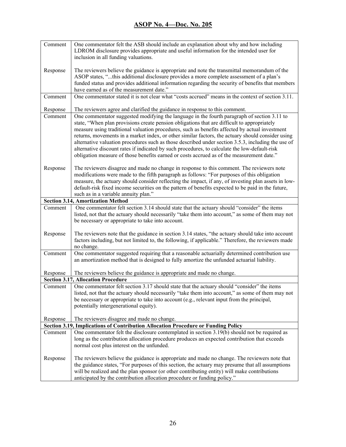| Comment  | One commentator felt the ASB should include an explanation about why and how including<br>LDROM disclosure provides appropriate and useful information for the intended user for                                                                                                                                                                                                                                                                                                                                                                                                                                                                                                                      |
|----------|-------------------------------------------------------------------------------------------------------------------------------------------------------------------------------------------------------------------------------------------------------------------------------------------------------------------------------------------------------------------------------------------------------------------------------------------------------------------------------------------------------------------------------------------------------------------------------------------------------------------------------------------------------------------------------------------------------|
|          | inclusion in all funding valuations.                                                                                                                                                                                                                                                                                                                                                                                                                                                                                                                                                                                                                                                                  |
| Response | The reviewers believe the guidance is appropriate and note the transmittal memorandum of the<br>ASOP states, "this additional disclosure provides a more complete assessment of a plan's<br>funded status and provides additional information regarding the security of benefits that members<br>have earned as of the measurement date."                                                                                                                                                                                                                                                                                                                                                             |
| Comment  | One commentator stated it is not clear what "costs accrued" means in the context of section 3.11.                                                                                                                                                                                                                                                                                                                                                                                                                                                                                                                                                                                                     |
| Response | The reviewers agree and clarified the guidance in response to this comment.                                                                                                                                                                                                                                                                                                                                                                                                                                                                                                                                                                                                                           |
| Comment  | One commentator suggested modifying the language in the fourth paragraph of section 3.11 to<br>state, "When plan provisions create pension obligations that are difficult to appropriately<br>measure using traditional valuation procedures, such as benefits affected by actual investment<br>returns, movements in a market index, or other similar factors, the actuary should consider using<br>alternative valuation procedures such as those described under section 3.5.3, including the use of<br>alternative discount rates if indicated by such procedures, to calculate the low-default-risk<br>obligation measure of those benefits earned or costs accrued as of the measurement date." |
| Response | The reviewers disagree and made no change in response to this comment. The reviewers note<br>modifications were made to the fifth paragraph as follows: "For purposes of this obligation<br>measure, the actuary should consider reflecting the impact, if any, of investing plan assets in low-<br>default-risk fixed income securities on the pattern of benefits expected to be paid in the future,<br>such as in a variable annuity plan."                                                                                                                                                                                                                                                        |
|          | <b>Section 3.14, Amortization Method</b>                                                                                                                                                                                                                                                                                                                                                                                                                                                                                                                                                                                                                                                              |
| Comment  | One commentator felt section 3.14 should state that the actuary should "consider" the items<br>listed, not that the actuary should necessarily "take them into account," as some of them may not<br>be necessary or appropriate to take into account.                                                                                                                                                                                                                                                                                                                                                                                                                                                 |
| Response | The reviewers note that the guidance in section 3.14 states, "the actuary should take into account<br>factors including, but not limited to, the following, if applicable." Therefore, the reviewers made<br>no change.                                                                                                                                                                                                                                                                                                                                                                                                                                                                               |
| Comment  | One commentator suggested requiring that a reasonable actuarially determined contribution use<br>an amortization method that is designed to fully amortize the unfunded actuarial liability.                                                                                                                                                                                                                                                                                                                                                                                                                                                                                                          |
| Response | The reviewers believe the guidance is appropriate and made no change.                                                                                                                                                                                                                                                                                                                                                                                                                                                                                                                                                                                                                                 |
|          | <b>Section 3.17, Allocation Procedure</b>                                                                                                                                                                                                                                                                                                                                                                                                                                                                                                                                                                                                                                                             |
| Comment  | One commentator felt section 3.17 should state that the actuary should "consider" the items<br>listed, not that the actuary should necessarily "take them into account," as some of them may not<br>be necessary or appropriate to take into account (e.g., relevant input from the principal,<br>potentially intergenerational equity).                                                                                                                                                                                                                                                                                                                                                              |
| Response | The reviewers disagree and made no change.                                                                                                                                                                                                                                                                                                                                                                                                                                                                                                                                                                                                                                                            |
|          | Section 3.19, Implications of Contribution Allocation Procedure or Funding Policy                                                                                                                                                                                                                                                                                                                                                                                                                                                                                                                                                                                                                     |
| Comment  | One commentator felt the disclosure contemplated in section 3.19(b) should not be required as<br>long as the contribution allocation procedure produces an expected contribution that exceeds<br>normal cost plus interest on the unfunded.                                                                                                                                                                                                                                                                                                                                                                                                                                                           |
| Response | The reviewers believe the guidance is appropriate and made no change. The reviewers note that<br>the guidance states, "For purposes of this section, the actuary may presume that all assumptions<br>will be realized and the plan sponsor (or other contributing entity) will make contributions<br>anticipated by the contribution allocation procedure or funding policy."                                                                                                                                                                                                                                                                                                                         |